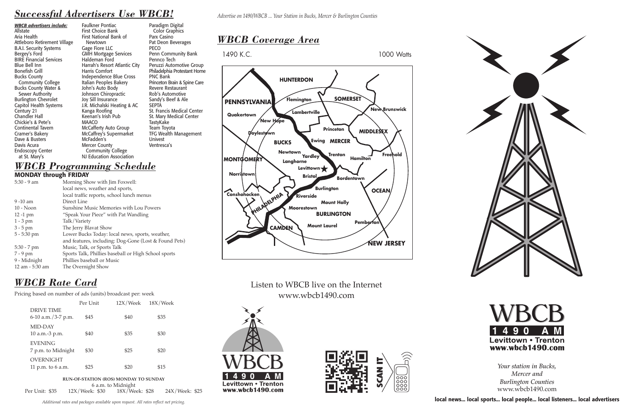**local news... local sports... local people... local listeners... local advertisers**

# *WBCB Rate Card*

#### Pricing based on number of ads (units) broadcast per: week

**RUN-OF-STATION (ROS) MONDAY TO SUNDAY** 6 a.m. to Midnight<br>12X/Week: \$30 18X/We Per Unit: \$35 12X/Week: \$30 18X/Week: \$28 24X/Week: \$25

|                                         | Per Unit | 12X/Week | 18X/Week |
|-----------------------------------------|----------|----------|----------|
| <b>DRIVE TIME</b><br>6-10 a.m./3-7 p.m. | \$45     | \$40     | \$35     |
| MID-DAY<br>10 a.m.-3 p.m.               | \$40     | \$35     | \$30     |
| <b>EVENING</b><br>7 p.m. to Midnight    | \$30     | \$25     | \$20     |
| <b>OVERNIGHT</b><br>11 p.m. to $6$ a.m. | \$25     | \$20     | \$15     |

## *Successful Advertisers Use WBCB!*

### *WBCB Programming Schedule* **MONDAY through FRIDAY**

| $5:30 - 9$ am   | Morning Show with Jim Foxwell:                        |
|-----------------|-------------------------------------------------------|
|                 | local news, weather and sports,                       |
|                 | local traffic reports, school lunch menus             |
| $9 - 10$ am     | Direct Line                                           |
| $10 - N$ oon    | Sunshine Music Memories with Lou Powers               |
| $12 - 1$ pm     | "Speak Your Piece" with Pat Wandling                  |
| $1 - 3$ pm      | Talk/Variety                                          |
| $3 - 5$ pm      | The Jerry Blavat Show                                 |
| $5 - 5:30$ pm   | Lower Bucks Today: local news, sports, weather,       |
|                 | and features, including: Dog-Gone (Lost & Found Pets) |
| $5:30 - 7$ pm   | Music, Talk, or Sports Talk                           |
| $7 - 9$ pm      | Sports Talk, Phillies baseball or High School sports  |
| 9 - Midnight    | Phillies baseball or Music                            |
| 12 am - 5:30 am | The Overnight Show                                    |
|                 |                                                       |

*WBCB advertisers include:* Allstate Aria Health Attleboro Retirement Village B.A.I. Security Systems Bergey's Ford BIRE Financial Services Blue Bell Inn Bonefish Grill Bucks County Community College Bucks County Water & Sewer Authority Burlington Chevrolet Capitol Health Systems Century 21 Chandler Hall Chickie's & Pete's Continental Tavern Cramer's Bakery Dave & Busters Davis Acura Endoscopy Center at St. Mary's

Faulkner Pontiac First Choice Bank First National Bank of Newtown Gage Fiore LLC GMH Mortgage Services Haldeman Ford Harrah's Resort Atlantic City Harris Comfort Independence Blue Cross Italian Peoples Bakery John's Auto Body Johnson Chiropractic Joy Sill Insurance J.R. Michalski Heating & AC Kanga Roofing Keenan's Irish Pub MAACO McCafferty Auto Group McCaffrey's Supermarket McFadden's Mercer County Community College NJ Education Association

Paradigm Digital Color Graphics Parx Casino Pat Deon Beverages PECO Penn Community Bank Pennco Tech Peruzzi Automotive Group Philadelphia Protestant Home PNC Bank Princeton Brain & Spine Care Revere Restaurant Rob's Automotive Sandy's Beef & Ale **SEPTA** St. Francis Medical Center St. Mary Medical Center TastyKake Team Toyota TFG Wealth Management Univest Ventresca's

> *Your station in Bucks, Mercer and Burlington Counties* www.wbcb1490.com



*Advertise on 1490/WBCB ... Your Station in Bucks, Mercer & Burlington Counties*

## *WBCB Coverage Area*

1490 K.C. 1000 Watts

## Listen to WBCB live on the Internet www.wbcb1490.com